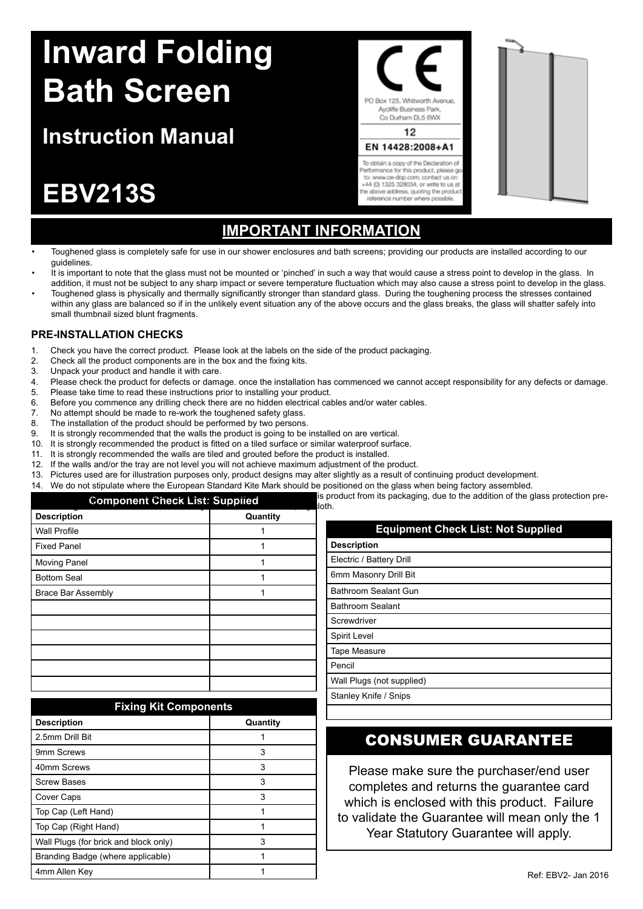# **Inward Folding Bath Screen**

## **Instruction Manual**

## **EBV213S**

## **Important Information**

PO Box 125, Whitworth Avenue. Aycliffe Business Park Co Durham DL5 6WX 12 EN 14428:2008+A1 To obtain a copy of the Declaration of erformance for this product, please go to: www.ce-dop.com. contact us or +44 (0) 1325 328034, or write to us at<br>the above address, quoting the product reference number where possible

- Toughened glass is completely safe for use in our shower enclosures and bath screens; providing our products are installed according to our guidelines.
- It is important to note that the glass must not be mounted or 'pinched' in such a way that would cause a stress point to develop in the glass. In addition, it must not be subject to any sharp impact or severe temperature fluctuation which may also cause a stress point to develop in the glass.
- Toughened glass is physically and thermally significantly stronger than standard glass. During the toughening process the stresses contained within any glass are balanced so if in the unlikely event situation any of the above occurs and the glass breaks, the glass will shatter safely into small thumbnail sized blunt fragments.

### **PRE-INSTALLATION CHECKS**

- 1. Check you have the correct product. Please look at the labels on the side of the product packaging.<br>2. Check all the product components are in the box and the fixing kits.
- Check all the product components are in the box and the fixing kits.
- 3. Unpack your product and handle it with care.<br>4 Please check the product for defects or dama
- 4. Please check the product for defects or damage, once the installation has commenced we cannot accept responsibility for any defects or damage.<br>5. Please take time to read these instructions prior to installing your prod
- Please take time to read these instructions prior to installing your product. 6. Before you commence any drilling check there are no hidden electrical cables and/or water cables.
- 7. No attempt should be made to re-work the toughened safety glass.
- 
- 8. The installation of the product should be performed by two persons.<br>9. It is strongly recommended that the walls the product is going to be It is strongly recommended that the walls the product is going to be installed on are vertical.
- 10. It is strongly recommended the product is fitted on a tiled surface or similar waterproof surface.
- 11. It is strongly recommended the walls are tiled and grouted before the product is installed.
- 12. If the walls and/or the tray are not level you will not achieve maximum adjustment of the product.
- 
- 13. Pictures used are for illustration purposes only, product designs may alter slightly as a result of continuing product development.<br>14. We do not stipulate where the European Standard Kite Mark should be positioned on We do not stipulate where the European Standard Kite Mark should be positioned on the glass when being factory assembled

| <b>Component Check List: Supplied</b> |          | is product from its packaging, due to the addition of the glass protection pre-<br>lloth. |
|---------------------------------------|----------|-------------------------------------------------------------------------------------------|
| <b>Description</b>                    | Quantity |                                                                                           |
| <b>Wall Profile</b>                   |          | <b>Equipment Check List: Not Supplied</b>                                                 |
| <b>Fixed Panel</b>                    |          | <b>Description</b>                                                                        |
| <b>Moving Panel</b>                   |          | Electric / Battery Drill                                                                  |
| <b>Bottom Seal</b>                    |          | 6mm Masonry Drill Bit                                                                     |
| Brace Bar Assembly                    |          | Bathroom Sealant Gun                                                                      |
|                                       |          | <b>Bathroom Sealant</b>                                                                   |
|                                       |          | Screwdriver                                                                               |
|                                       |          | Spirit Level                                                                              |
|                                       |          | Tape Measure                                                                              |
|                                       |          | Pencil                                                                                    |

| <b>Fixing Kit Components</b>          |          |  |
|---------------------------------------|----------|--|
| <b>Description</b>                    | Quantity |  |
| 2.5mm Drill Bit                       |          |  |
| 9mm Screws                            | 3        |  |
| 40mm Screws                           | 3        |  |
| <b>Screw Bases</b>                    | 3        |  |
| Cover Caps                            | 3        |  |
| Top Cap (Left Hand)                   |          |  |
| Top Cap (Right Hand)                  | 1        |  |
| Wall Plugs (for brick and block only) | 3        |  |
| Branding Badge (where applicable)     | 1        |  |
| 4mm Allen Key                         |          |  |

# Pencil Wall Plugs (not supplied)

Stanley Knife / Snips

## CONSUMER GUARANTEE

Please make sure the purchaser/end user completes and returns the guarantee card which is enclosed with this product. Failure to validate the Guarantee will mean only the 1 Year Statutory Guarantee will apply.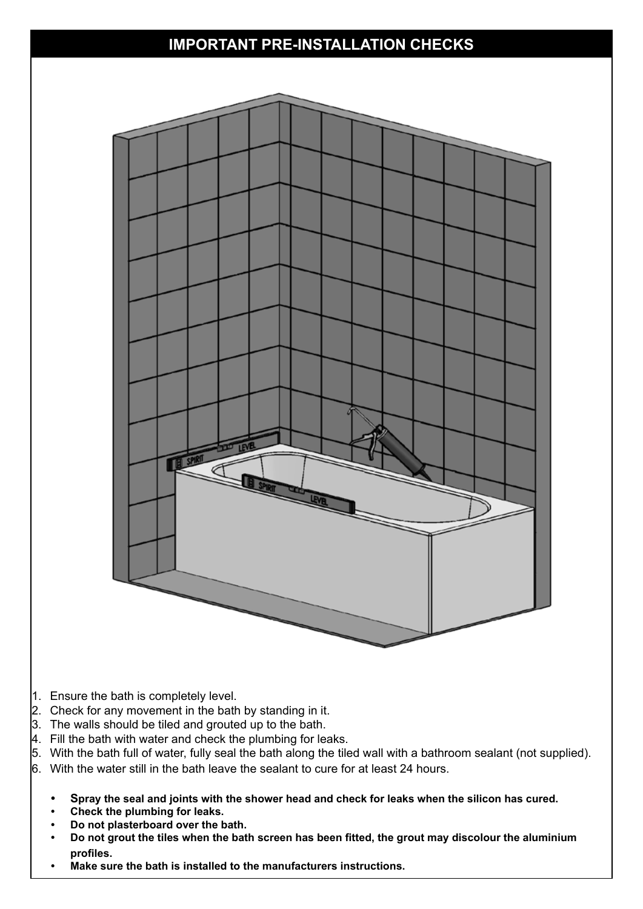## **IMPORTANT PRE-INSTALLATION CHECKS**



- 1. Ensure the bath is completely level.
- $2.$  Check for any movement in the bath by standing in it.
- $3.$  The walls should be tiled and grouted up to the bath.
- $\vert$ 4. Fill the bath with water and check the plumbing for leaks.
- 5. With the bath full of water, fully seal the bath along the tiled wall with a bathroom sealant (not supplied). 6. With the water still in the bath leave the sealant to cure for at least 24 hours.
	- **• Spray the seal and joints with the shower head and check for leaks when the silicon has cured.**
	- **Check the plumbing for leaks.**
	- **• Do not plasterboard over the bath.**
	- Do not grout the tiles when the bath screen has been fitted, the grout may discolour the aluminium **profiles.**
	- **• Make sure the bath is installed to the manufacturers instructions.**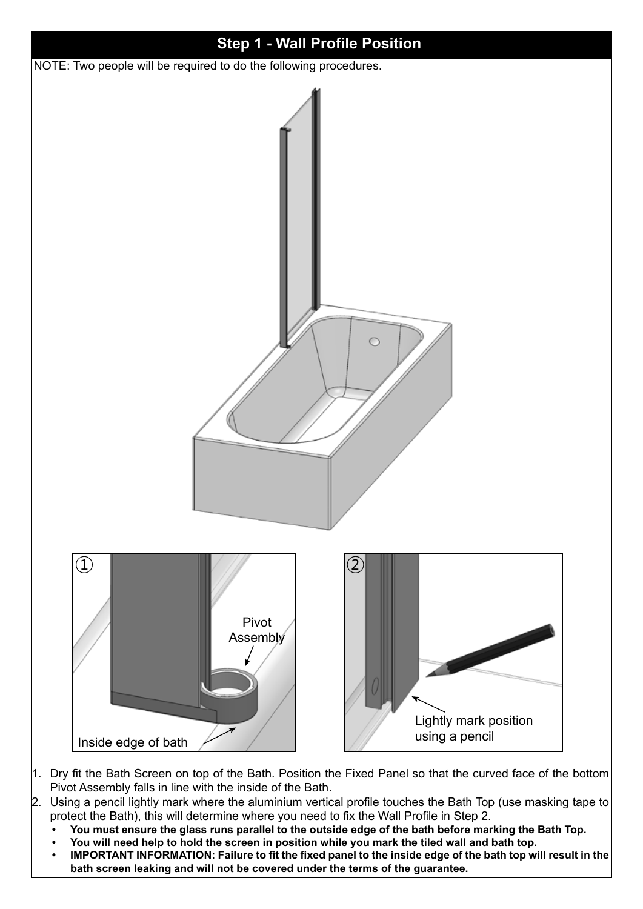

- 1. Dry fit the Bath Screen on top of the Bath. Position the Fixed Panel so that the curved face of the bottom Pivot Assembly falls in line with the inside of the Bath.
- 2. Using a pencil lightly mark where the aluminium vertical profile touches the Bath Top (use masking tape to protect the Bath), this will determine where you need to fix the Wall Profile in Step 2.
	- You must ensure the glass runs parallel to the outside edge of the bath before marking the Bath Top.
	- You will need help to hold the screen in position while you mark the tiled wall and bath top.
	- IMPORTANT INFORMATION: Failure to fit the fixed panel to the inside edge of the bath top will result in the **bath screen leaking and will not be covered under the terms of the guarantee.**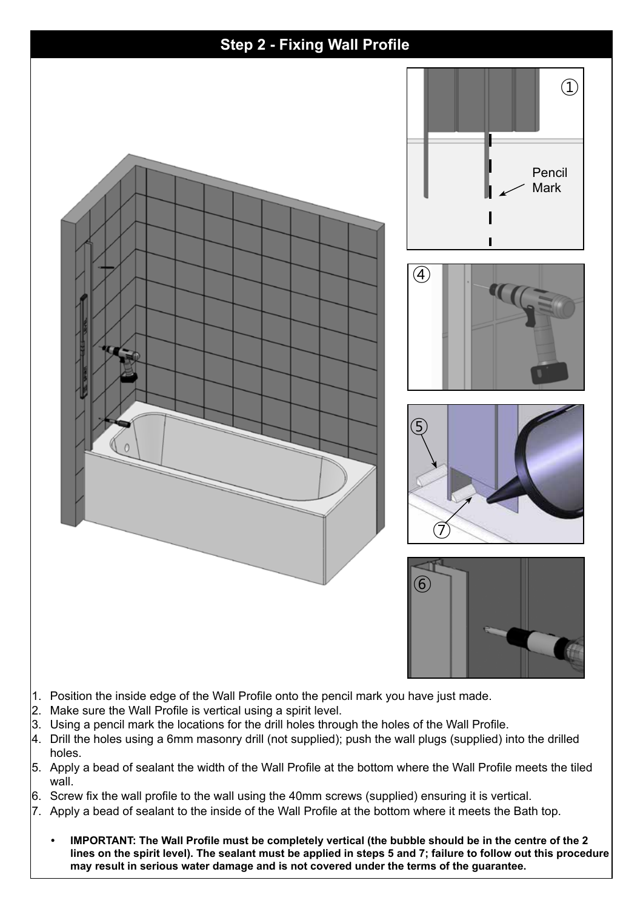

- 1. Position the inside edge of the Wall Profile onto the pencil mark you have just made.
- 2. Make sure the Wall Profile is vertical using a spirit level.
- $\beta$ . Using a pencil mark the locations for the drill holes through the holes of the Wall Profile.
- $\vert$ 4. Drill the holes using a 6mm masonry drill (not supplied); push the wall plugs (supplied) into the drilled holes.
- 5. Apply a bead of sealant the width of the Wall Profile at the bottom where the Wall Profile meets the tiled wall.
- 6. Screw fix the wall profile to the wall using the 40mm screws (supplied) ensuring it is vertical.
- 7. Apply a bead of sealant to the inside of the Wall Profile at the bottom where it meets the Bath top.
	- IMPORTANT: The Wall Profile must be completely vertical (the bubble should be in the centre of the 2 **lines on the spirit level). The sealant must be applied in steps 5 and 7; failure to follow out this procedure may result in serious water damage and is not covered under the terms of the guarantee.**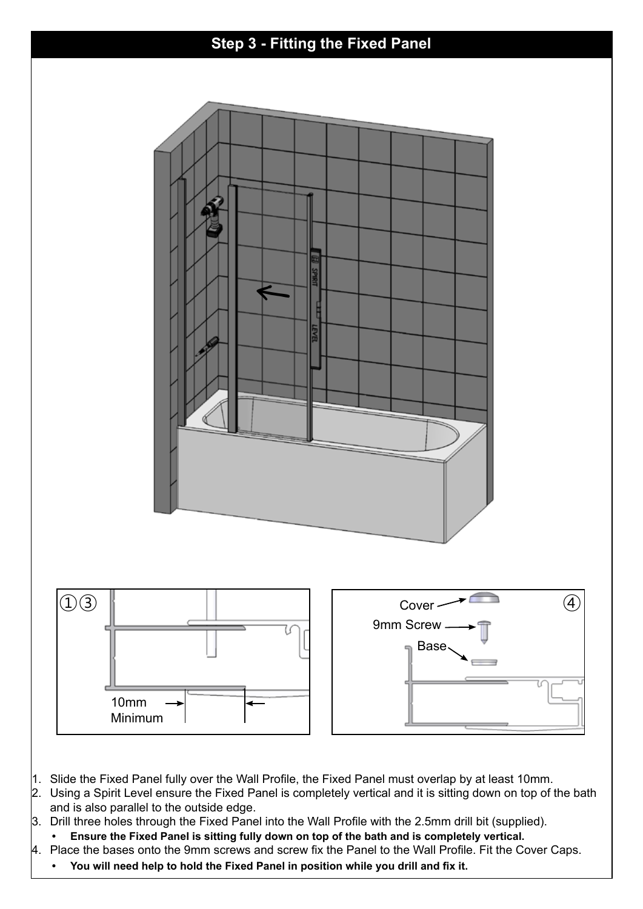## **Step 3 - Fitting the Fixed Panel**



- 1. Slide the Fixed Panel fully over the Wall Profile, the Fixed Panel must overlap by at least 10mm.
- 2. Using a Spirit Level ensure the Fixed Panel is completely vertical and it is sitting down on top of the bath and is also parallel to the outside edge.
- 3. Drill three holes through the Fixed Panel into the Wall Profile with the 2.5mm drill bit (supplied).
- Ensure the Fixed Panel is sitting fully down on top of the bath and is completely vertical.
- 4. Place the bases onto the 9mm screws and screw fix the Panel to the Wall Profile. Fit the Cover Caps.
	- **• You will need help to hold the Fixed Panel in position while you drill and fix it.**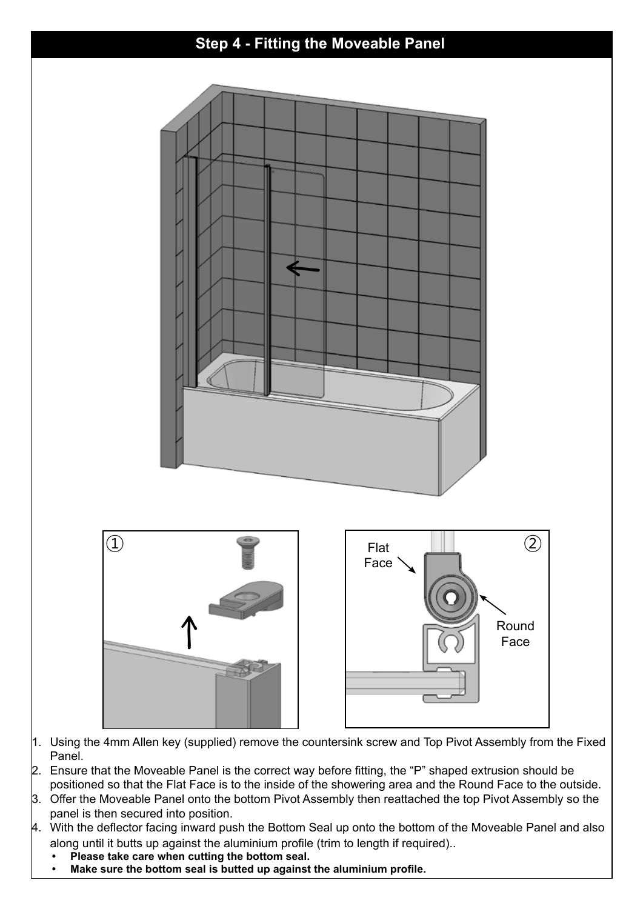

- 1. Using the 4mm Allen key (supplied) remove the countersink screw and Top Pivot Assembly from the Fixed Panel.
- 2. Ensure that the Moveable Panel is the correct way before fitting, the "P" shaped extrusion should be positioned so that the Flat Face is to the inside of the showering area and the Round Face to the outside.
- 3. Offer the Moveable Panel onto the bottom Pivot Assembly then reattached the top Pivot Assembly so the panel is then secured into position.
- 4. With the deflector facing inward push the Bottom Seal up onto the bottom of the Moveable Panel and also along until it butts up against the aluminium profile (trim to length if required)..
	- **• Please take care when cutting the bottom seal.**
	- **• Make sure the bottom seal is butted up against the aluminium profile.**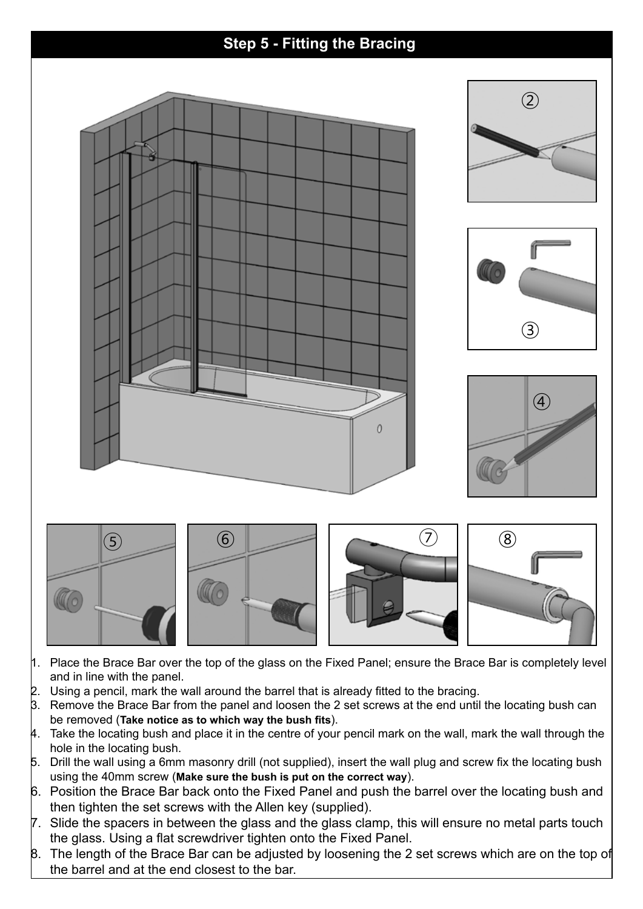

- 1. Place the Brace Bar over the top of the glass on the Fixed Panel; ensure the Brace Bar is completely level and in line with the panel.
- $2.$  Using a pencil, mark the wall around the barrel that is already fitted to the bracing.
- 3. Remove the Brace Bar from the panel and loosen the 2 set screws at the end until the locating bush can be removed (**Take notice as to which way the bush fits**).
- 4. Take the locating bush and place it in the centre of your pencil mark on the wall, mark the wall through the hole in the locating bush.
- 5. Drill the wall using a 6mm masonry drill (not supplied), insert the wall plug and screw fix the locating bush using the 40mm screw (**Make sure the bush is put on the correct way**).
- 6. Position the Brace Bar back onto the Fixed Panel and push the barrel over the locating bush and then tighten the set screws with the Allen key (supplied).
- 7. Slide the spacers in between the glass and the glass clamp, this will ensure no metal parts touch the glass. Using a flat screwdriver tighten onto the Fixed Panel.
- B. The length of the Brace Bar can be adjusted by loosening the 2 set screws which are on the top of the barrel and at the end closest to the bar.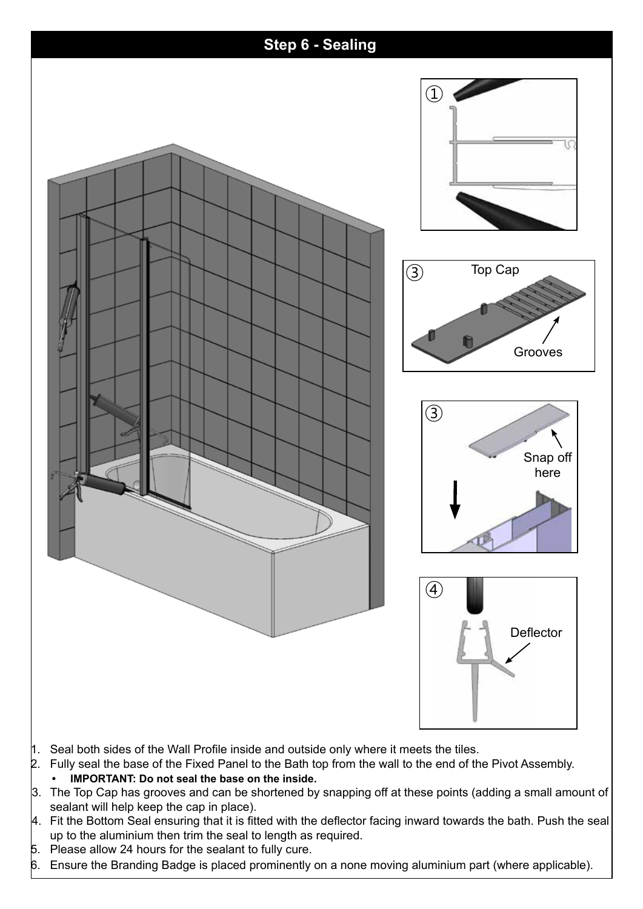

- $\parallel$ . Seal both sides of the Wall Profile inside and outside only where it meets the tiles.
- 2. Fully seal the base of the Fixed Panel to the Bath top from the wall to the end of the Pivot Assembly.
	- **IMPORTANT: Do not seal the base on the inside.**
- 3. The Top Cap has grooves and can be shortened by snapping off at these points (adding a small amount of sealant will help keep the cap in place).
- $\mu$ . Fit the Bottom Seal ensuring that it is fitted with the deflector facing inward towards the bath. Push the seal up to the aluminium then trim the seal to length as required.
- 5. Please allow 24 hours for the sealant to fully cure.
- 6. Ensure the Branding Badge is placed prominently on a none moving aluminium part (where applicable).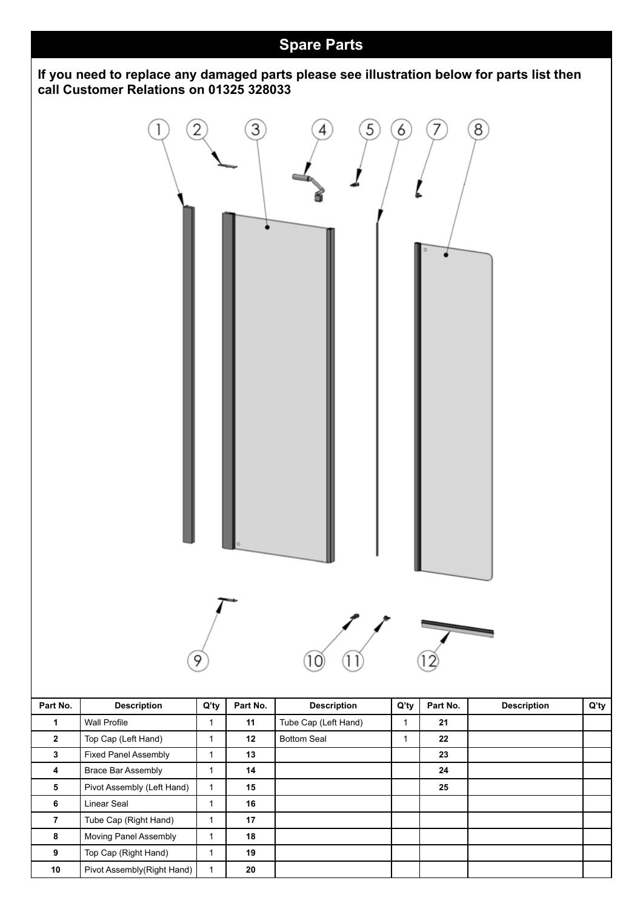

 | Top Cap (Right Hand) | 1 | 19 Pivot Assembly(Right Hand) 1 **20**